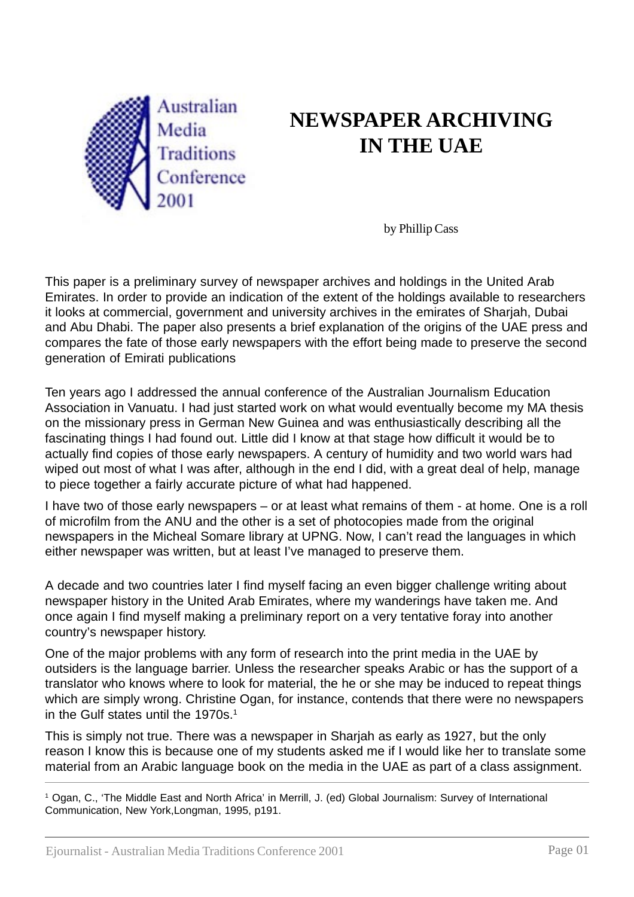

# **NEWSPAPER ARCHIVING IN THE UAE**

by Phillip Cass

This paper is a preliminary survey of newspaper archives and holdings in the United Arab Emirates. In order to provide an indication of the extent of the holdings available to researchers it looks at commercial, government and university archives in the emirates of Sharjah, Dubai and Abu Dhabi. The paper also presents a brief explanation of the origins of the UAE press and compares the fate of those early newspapers with the effort being made to preserve the second generation of Emirati publications

Ten years ago I addressed the annual conference of the Australian Journalism Education Association in Vanuatu. I had just started work on what would eventually become my MA thesis on the missionary press in German New Guinea and was enthusiastically describing all the fascinating things I had found out. Little did I know at that stage how difficult it would be to actually find copies of those early newspapers. A century of humidity and two world wars had wiped out most of what I was after, although in the end I did, with a great deal of help, manage to piece together a fairly accurate picture of what had happened.

I have two of those early newspapers – or at least what remains of them - at home. One is a roll of microfilm from the ANU and the other is a set of photocopies made from the original newspapers in the Micheal Somare library at UPNG. Now, I can't read the languages in which either newspaper was written, but at least I've managed to preserve them.

A decade and two countries later I find myself facing an even bigger challenge writing about newspaper history in the United Arab Emirates, where my wanderings have taken me. And once again I find myself making a preliminary report on a very tentative foray into another country's newspaper history.

One of the major problems with any form of research into the print media in the UAE by outsiders is the language barrier. Unless the researcher speaks Arabic or has the support of a translator who knows where to look for material, the he or she may be induced to repeat things which are simply wrong. Christine Ogan, for instance, contends that there were no newspapers in the Gulf states until the 1970s.<sup>1</sup>

This is simply not true. There was a newspaper in Sharjah as early as 1927, but the only reason I know this is because one of my students asked me if I would like her to translate some material from an Arabic language book on the media in the UAE as part of a class assignment.

1 Ogan, C., 'The Middle East and North Africa' in Merrill, J. (ed) Global Journalism: Survey of International Communication, New York,Longman, 1995, p191.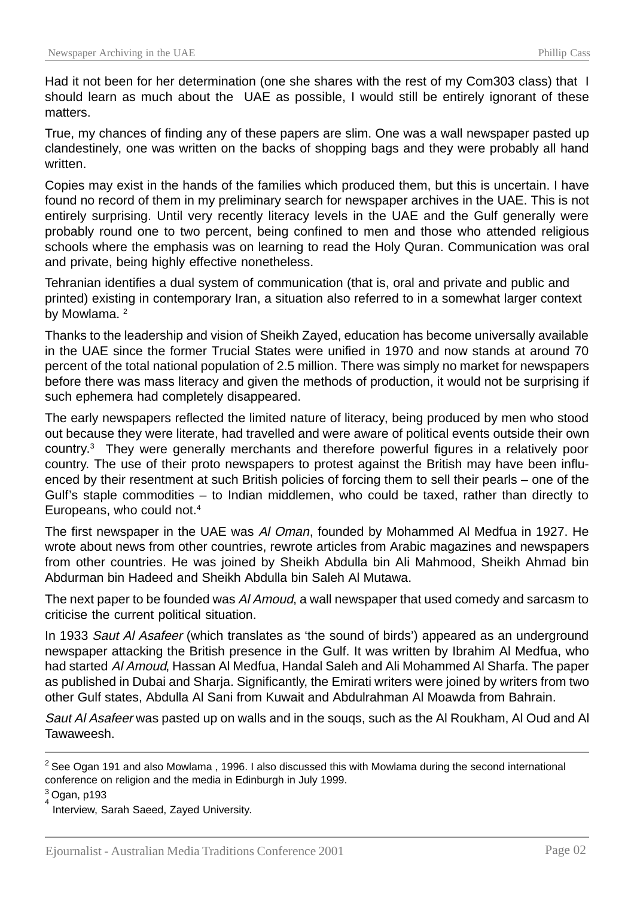Had it not been for her determination (one she shares with the rest of my Com303 class) that I should learn as much about the UAE as possible, I would still be entirely ignorant of these matters.

True, my chances of finding any of these papers are slim. One was a wall newspaper pasted up clandestinely, one was written on the backs of shopping bags and they were probably all hand written.

Copies may exist in the hands of the families which produced them, but this is uncertain. I have found no record of them in my preliminary search for newspaper archives in the UAE. This is not entirely surprising. Until very recently literacy levels in the UAE and the Gulf generally were probably round one to two percent, being confined to men and those who attended religious schools where the emphasis was on learning to read the Holy Quran. Communication was oral and private, being highly effective nonetheless.

Tehranian identifies a dual system of communication (that is, oral and private and public and printed) existing in contemporary Iran, a situation also referred to in a somewhat larger context by Mowlama.<sup>2</sup>

Thanks to the leadership and vision of Sheikh Zayed, education has become universally available in the UAE since the former Trucial States were unified in 1970 and now stands at around 70 percent of the total national population of 2.5 million. There was simply no market for newspapers before there was mass literacy and given the methods of production, it would not be surprising if such ephemera had completely disappeared.

The early newspapers reflected the limited nature of literacy, being produced by men who stood out because they were literate, had travelled and were aware of political events outside their own country.3 They were generally merchants and therefore powerful figures in a relatively poor country. The use of their proto newspapers to protest against the British may have been influenced by their resentment at such British policies of forcing them to sell their pearls – one of the Gulf's staple commodities – to Indian middlemen, who could be taxed, rather than directly to Europeans, who could not.4

The first newspaper in the UAE was Al Oman, founded by Mohammed Al Medfua in 1927. He wrote about news from other countries, rewrote articles from Arabic magazines and newspapers from other countries. He was joined by Sheikh Abdulla bin Ali Mahmood, Sheikh Ahmad bin Abdurman bin Hadeed and Sheikh Abdulla bin Saleh Al Mutawa.

The next paper to be founded was AI Amoud, a wall newspaper that used comedy and sarcasm to criticise the current political situation.

In 1933 Saut AI Asafeer (which translates as 'the sound of birds') appeared as an underground newspaper attacking the British presence in the Gulf. It was written by Ibrahim Al Medfua, who had started Al Amoud, Hassan Al Medfua, Handal Saleh and Ali Mohammed Al Sharfa. The paper as published in Dubai and Sharja. Significantly, the Emirati writers were joined by writers from two other Gulf states, Abdulla Al Sani from Kuwait and Abdulrahman Al Moawda from Bahrain.

Saut AI Asafeer was pasted up on walls and in the sougs, such as the AI Roukham, AI Oud and AI **Tawaweesh** 

<sup>&</sup>lt;sup>2</sup> See Ogan 191 and also Mowlama , 1996. I also discussed this with Mowlama during the second international conference on religion and the media in Edinburgh in July 1999.

 $3$  Ogan, p193

Interview, Sarah Saeed, Zayed University.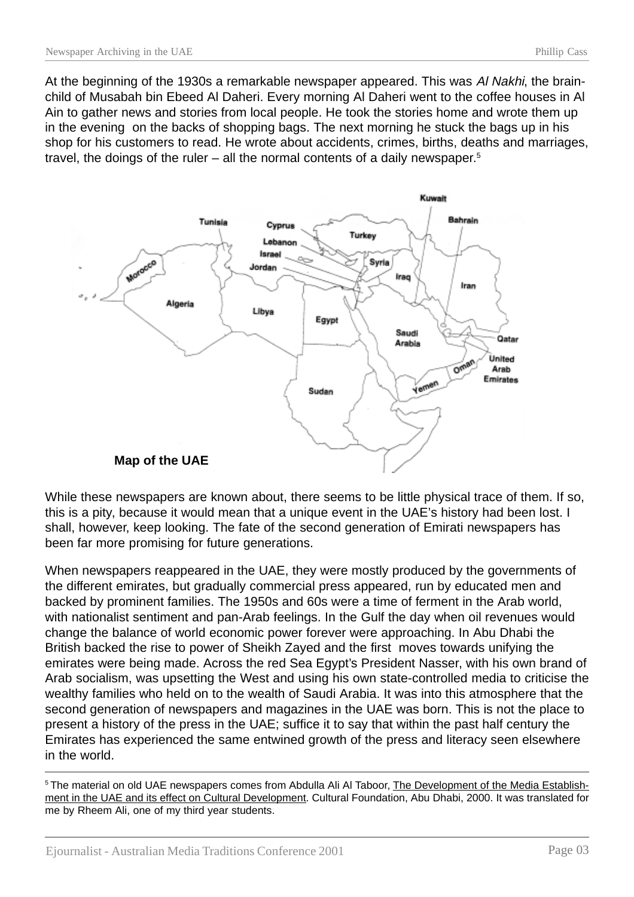At the beginning of the 1930s a remarkable newspaper appeared. This was Al Nakhi, the brainchild of Musabah bin Ebeed Al Daheri. Every morning Al Daheri went to the coffee houses in Al Ain to gather news and stories from local people. He took the stories home and wrote them up in the evening on the backs of shopping bags. The next morning he stuck the bags up in his shop for his customers to read. He wrote about accidents, crimes, births, deaths and marriages, travel, the doings of the ruler – all the normal contents of a daily newspaper.<sup>5</sup>



While these newspapers are known about, there seems to be little physical trace of them. If so, this is a pity, because it would mean that a unique event in the UAE's history had been lost. I shall, however, keep looking. The fate of the second generation of Emirati newspapers has been far more promising for future generations.

When newspapers reappeared in the UAE, they were mostly produced by the governments of the different emirates, but gradually commercial press appeared, run by educated men and backed by prominent families. The 1950s and 60s were a time of ferment in the Arab world, with nationalist sentiment and pan-Arab feelings. In the Gulf the day when oil revenues would change the balance of world economic power forever were approaching. In Abu Dhabi the British backed the rise to power of Sheikh Zayed and the first moves towards unifying the emirates were being made. Across the red Sea Egypt's President Nasser, with his own brand of Arab socialism, was upsetting the West and using his own state-controlled media to criticise the wealthy families who held on to the wealth of Saudi Arabia. It was into this atmosphere that the second generation of newspapers and magazines in the UAE was born. This is not the place to present a history of the press in the UAE; suffice it to say that within the past half century the Emirates has experienced the same entwined growth of the press and literacy seen elsewhere in the world.

<sup>5</sup> The material on old UAE newspapers comes from Abdulla Ali Al Taboor, The Development of the Media Establishment in the UAE and its effect on Cultural Development. Cultural Foundation, Abu Dhabi, 2000. It was translated for me by Rheem Ali, one of my third year students.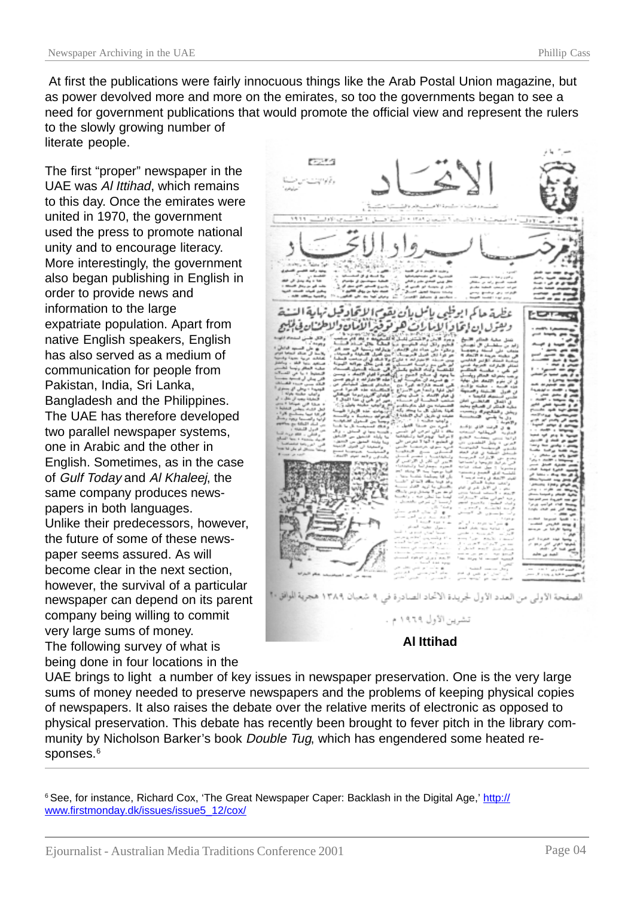At first the publications were fairly innocuous things like the Arab Postal Union magazine, but as power devolved more and more on the emirates, so too the governments began to see a need for government publications that would promote the official view and represent the rulers to the slowly growing number of literate people.

The first "proper" newspaper in the UAE was Al Ittihad, which remains to this day. Once the emirates were united in 1970, the government used the press to promote national unity and to encourage literacy. More interestingly, the government also began publishing in English in order to provide news and information to the large expatriate population. Apart from native English speakers, English has also served as a medium of communication for people from Pakistan, India, Sri Lanka, Bangladesh and the Philippines. The UAE has therefore developed two parallel newspaper systems, one in Arabic and the other in English. Sometimes, as in the case of Gulf Today and Al Khaleej, the same company produces newspapers in both languages. Unlike their predecessors, however, the future of some of these newspaper seems assured. As will become clear in the next section, however, the survival of a particular newspaper can depend on its parent company being willing to commit very large sums of money. The following survey of what is being done in four locations in the

باأن نقعت الاتحادة الصفحة الأولى من العدد الأول لجريدة الأتحاد الصادرة في تشرين الأول ١٩٦٩ م . **Al Ittihad**

UAE brings to light a number of key issues in newspaper preservation. One is the very large sums of money needed to preserve newspapers and the problems of keeping physical copies of newspapers. It also raises the debate over the relative merits of electronic as opposed to physical preservation. This debate has recently been brought to fever pitch in the library community by Nicholson Barker's book *Double Tug*, which has engendered some heated responses.<sup>6</sup>

<sup>6</sup> See, for instance, Richard Cox, 'The Great Newspaper Caper: Backlash in the Digital Age,' http:// www.firstmonday.dk/issues/issue5\_12/cox/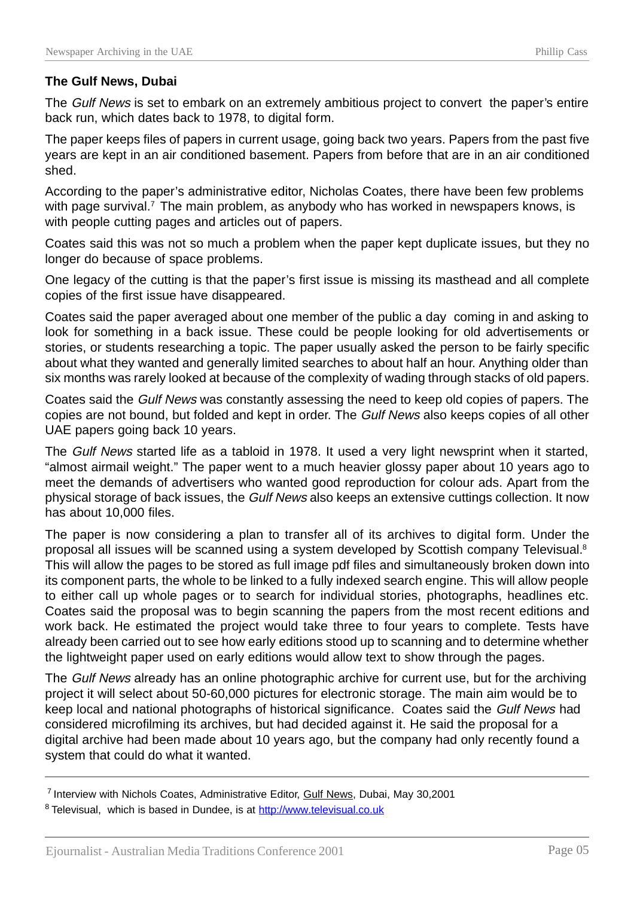## **The Gulf News, Dubai**

The Gulf News is set to embark on an extremely ambitious project to convert the paper's entire back run, which dates back to 1978, to digital form.

The paper keeps files of papers in current usage, going back two years. Papers from the past five years are kept in an air conditioned basement. Papers from before that are in an air conditioned shed.

According to the paper's administrative editor, Nicholas Coates, there have been few problems with page survival.<sup>7</sup> The main problem, as anybody who has worked in newspapers knows, is with people cutting pages and articles out of papers.

Coates said this was not so much a problem when the paper kept duplicate issues, but they no longer do because of space problems.

One legacy of the cutting is that the paper's first issue is missing its masthead and all complete copies of the first issue have disappeared.

Coates said the paper averaged about one member of the public a day coming in and asking to look for something in a back issue. These could be people looking for old advertisements or stories, or students researching a topic. The paper usually asked the person to be fairly specific about what they wanted and generally limited searches to about half an hour. Anything older than six months was rarely looked at because of the complexity of wading through stacks of old papers.

Coates said the Gulf News was constantly assessing the need to keep old copies of papers. The copies are not bound, but folded and kept in order. The Gulf News also keeps copies of all other UAE papers going back 10 years.

The Gulf News started life as a tabloid in 1978. It used a very light newsprint when it started, "almost airmail weight." The paper went to a much heavier glossy paper about 10 years ago to meet the demands of advertisers who wanted good reproduction for colour ads. Apart from the physical storage of back issues, the Gulf News also keeps an extensive cuttings collection. It now has about 10,000 files.

The paper is now considering a plan to transfer all of its archives to digital form. Under the proposal all issues will be scanned using a system developed by Scottish company Televisual.8 This will allow the pages to be stored as full image pdf files and simultaneously broken down into its component parts, the whole to be linked to a fully indexed search engine. This will allow people to either call up whole pages or to search for individual stories, photographs, headlines etc. Coates said the proposal was to begin scanning the papers from the most recent editions and work back. He estimated the project would take three to four years to complete. Tests have already been carried out to see how early editions stood up to scanning and to determine whether the lightweight paper used on early editions would allow text to show through the pages.

The Gulf News already has an online photographic archive for current use, but for the archiving project it will select about 50-60,000 pictures for electronic storage. The main aim would be to keep local and national photographs of historical significance. Coates said the Gulf News had considered microfilming its archives, but had decided against it. He said the proposal for a digital archive had been made about 10 years ago, but the company had only recently found a system that could do what it wanted.

<sup>7</sup> Interview with Nichols Coates, Administrative Editor, Gulf News, Dubai, May 30,2001 <sup>8</sup> Televisual, which is based in Dundee, is at http://www.televisual.co.uk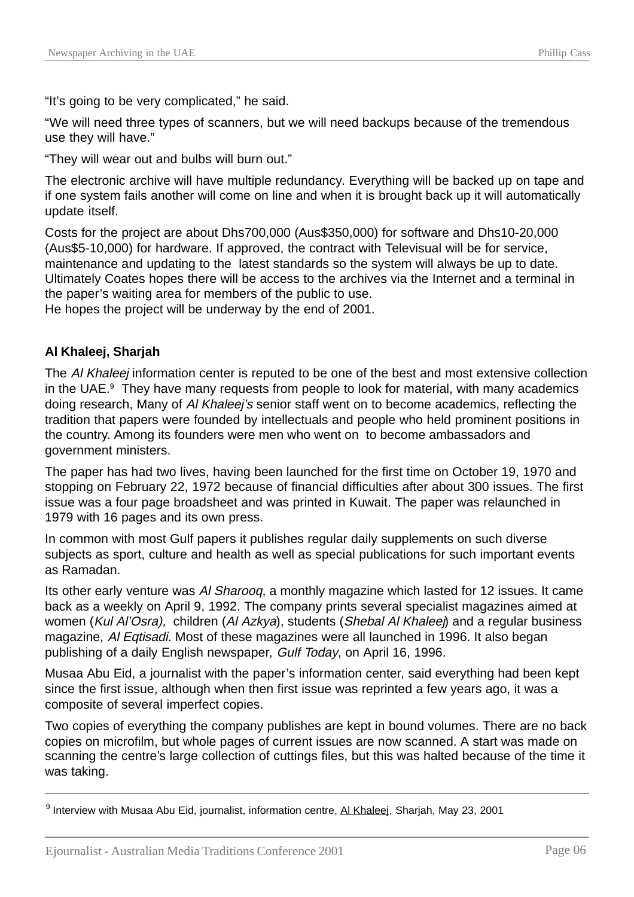"It's going to be very complicated," he said.

"We will need three types of scanners, but we will need backups because of the tremendous use they will have."

"They will wear out and bulbs will burn out."

The electronic archive will have multiple redundancy. Everything will be backed up on tape and if one system fails another will come on line and when it is brought back up it will automatically update itself.

Costs for the project are about Dhs700,000 (Aus\$350,000) for software and Dhs10-20,000 (Aus\$5-10,000) for hardware. If approved, the contract with Televisual will be for service, maintenance and updating to the latest standards so the system will always be up to date. Ultimately Coates hopes there will be access to the archives via the Internet and a terminal in the paper's waiting area for members of the public to use.

He hopes the project will be underway by the end of 2001.

# **Al Khaleej, Sharjah**

The Al Khaleej information center is reputed to be one of the best and most extensive collection in the UAE.<sup>9</sup> They have many requests from people to look for material, with many academics doing research. Many of Al Khaleej's senior staff went on to become academics, reflecting the tradition that papers were founded by intellectuals and people who held prominent positions in the country. Among its founders were men who went on to become ambassadors and government ministers.

The paper has had two lives, having been launched for the first time on October 19, 1970 and stopping on February 22, 1972 because of financial difficulties after about 300 issues. The first issue was a four page broadsheet and was printed in Kuwait. The paper was relaunched in 1979 with 16 pages and its own press.

In common with most Gulf papers it publishes regular daily supplements on such diverse subjects as sport, culture and health as well as special publications for such important events as Ramadan.

Its other early venture was Al Sharooq, a monthly magazine which lasted for 12 issues. It came back as a weekly on April 9, 1992. The company prints several specialist magazines aimed at women (Kul Al'Osra), children (Al Azkya), students (Shebal Al Khalee) and a regular business magazine, Al Eqtisadi. Most of these magazines were all launched in 1996. It also began publishing of a daily English newspaper, Gulf Today, on April 16, 1996.

Musaa Abu Eid, a journalist with the paper's information center, said everything had been kept since the first issue, although when then first issue was reprinted a few years ago, it was a composite of several imperfect copies.

Two copies of everything the company publishes are kept in bound volumes. There are no back copies on microfilm, but whole pages of current issues are now scanned. A start was made on scanning the centre's large collection of cuttings files, but this was halted because of the time it was taking.

9 Interview with Musaa Abu Eid, journalist, information centre, Al Khaleej, Sharjah, May 23, 2001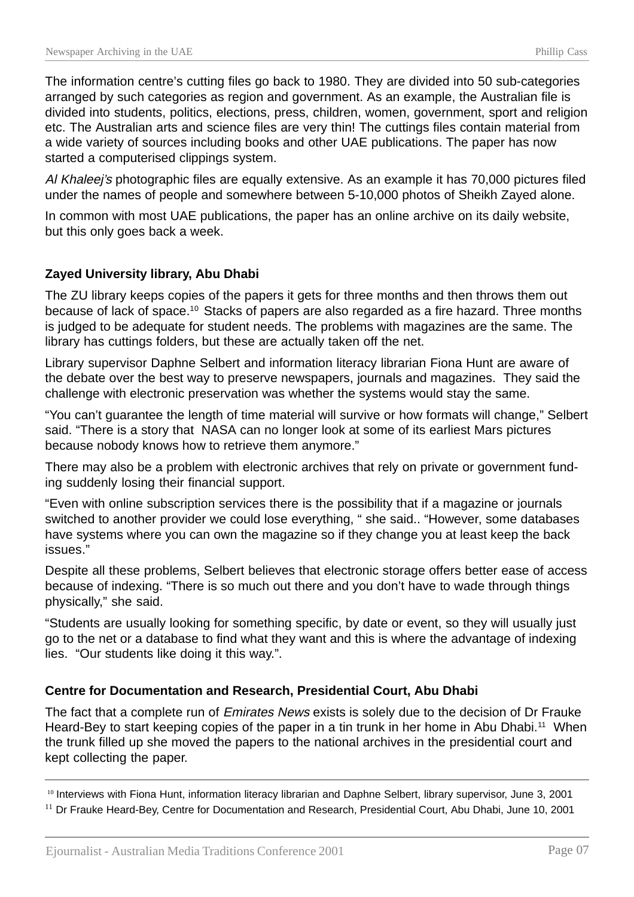The information centre's cutting files go back to 1980. They are divided into 50 sub-categories arranged by such categories as region and government. As an example, the Australian file is divided into students, politics, elections, press, children, women, government, sport and religion etc. The Australian arts and science files are very thin! The cuttings files contain material from a wide variety of sources including books and other UAE publications. The paper has now started a computerised clippings system.

Al Khaleej's photographic files are equally extensive. As an example it has 70,000 pictures filed under the names of people and somewhere between 5-10,000 photos of Sheikh Zayed alone.

In common with most UAE publications, the paper has an online archive on its daily website, but this only goes back a week.

# **Zayed University library, Abu Dhabi**

The ZU library keeps copies of the papers it gets for three months and then throws them out because of lack of space.10 Stacks of papers are also regarded as a fire hazard. Three months is judged to be adequate for student needs. The problems with magazines are the same. The library has cuttings folders, but these are actually taken off the net.

Library supervisor Daphne Selbert and information literacy librarian Fiona Hunt are aware of the debate over the best way to preserve newspapers, journals and magazines. They said the challenge with electronic preservation was whether the systems would stay the same.

"You can't guarantee the length of time material will survive or how formats will change," Selbert said. "There is a story that NASA can no longer look at some of its earliest Mars pictures because nobody knows how to retrieve them anymore."

There may also be a problem with electronic archives that rely on private or government funding suddenly losing their financial support.

"Even with online subscription services there is the possibility that if a magazine or journals switched to another provider we could lose everything, " she said.. "However, some databases have systems where you can own the magazine so if they change you at least keep the back issues."

Despite all these problems, Selbert believes that electronic storage offers better ease of access because of indexing. "There is so much out there and you don't have to wade through things physically," she said.

"Students are usually looking for something specific, by date or event, so they will usually just go to the net or a database to find what they want and this is where the advantage of indexing lies. "Our students like doing it this way.".

### **Centre for Documentation and Research, Presidential Court, Abu Dhabi**

The fact that a complete run of Emirates News exists is solely due to the decision of Dr Frauke Heard-Bey to start keeping copies of the paper in a tin trunk in her home in Abu Dhabi.<sup>11</sup> When the trunk filled up she moved the papers to the national archives in the presidential court and kept collecting the paper.

10 Interviews with Fiona Hunt, information literacy librarian and Daphne Selbert, library supervisor, June 3, 2001 <sup>11</sup> Dr Frauke Heard-Bey, Centre for Documentation and Research, Presidential Court, Abu Dhabi, June 10, 2001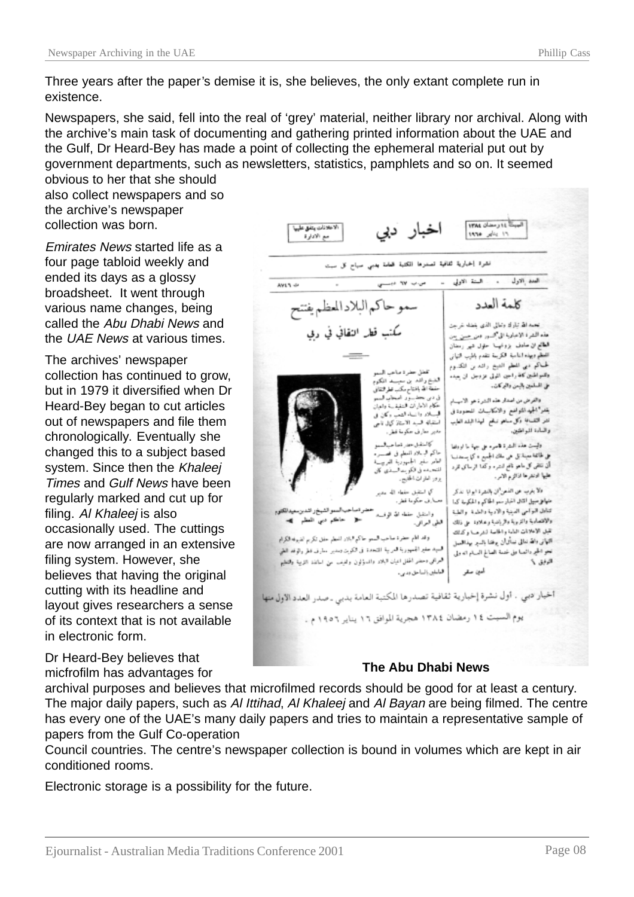Three years after the paper's demise it is, she believes, the only extant complete run in existence.

Newspapers, she said, fell into the real of 'grey' material, neither library nor archival. Along with the archive's main task of documenting and gathering printed information about the UAE and the Gulf, Dr Heard-Bey has made a point of collecting the ephemeral material put out by government departments, such as newsletters, statistics, pamphlets and so on. It seemed

obvious to her that she should also collect newspapers and so the archive's newspaper collection was born.

Emirates News started life as a four page tabloid weekly and ended its days as a glossy broadsheet. It went through various name changes, being called the Abu Dhabi News and the UAE News at various times.

The archives' newspaper collection has continued to grow, but in 1979 it diversified when Dr Heard-Bey began to cut articles out of newspapers and file them chronologically. Eventually she changed this to a subject based system. Since then the Khaleej Times and Gulf News have been regularly marked and cut up for filing. Al Khaleej is also occasionally used. The cuttings are now arranged in an extensive filing system. However, she believes that having the original cutting with its headline and layout gives researchers a sense of its context that is not available in electronic form.

Dr Heard-Bey believes that micfrofilm has advantages for

البيث 11 رمضان 1994 اخبار دبي لاعلانات يتفق عليها  $71$   $y = x$  arms مع الادارة نشرة إخبارية ثقافية تصدرها المكتبة فحطت بدبي صباح كل سبت . السنة الاولي - \_\_\_ ص.ب ٧٧ ديســــي العدد الاول AVE'S 4P سموحاكم البلادالمطم يفتتح كلمة العدد مُكتب قطر النقائي في ربي تحمدالله تبارك وتعالى الذى بغضه غرجن هذه الشعرة الإعبارية الى *السور دمن جسن* بعن الطائع ان حادف بزونهها حلول شهر رمدان الفطح وبهذه الناسبة الكربنة تتقدم باطرب التهانى لحماكم مي المطم الديخ رائد بن الكدوم المغل حضرة مناص الب وللمواطبين كافة راجين اللولى عزوجل ان جبده الغبخ واشد بن سبسه الكتوم ملى المسلمين بالبس والبركات. حفظة الله بافتتاح مكب تطرفتقاني سود امحان قسم في دين بحث والقرض من اصدار هذه الشرة هو الاسبار حكام الاماران المنفقسة والهبان بقدرا الجيد المتواضع والامكانيسات المحدودة فى قب از را زباء النصب وكان في نشر التقسافة وكل مناهو نبائع المهذا البلد الطبب استقباله فسبد الاستاذكرال ناحيي مەير سارنى جكومة قطر والسادة المواطنين. وليست هذه السترة فاسره على جهة ما اوواها كالمنفل حط فعاجدهم حاكم البسلاء المطم فى فقسسه على طائفة معينة بل هي ملك الجميع ، كما يستدلب العامر سفير الجمهورية للمربيسة أن نتقى كل ماحو ناقع لنشرء وكدا الرساك للرد للتحدده فى الكويت السادي كان عليها ادنفرها اذائرم الامر. يزور امارت الخايس والأيترب عن الفحن"ان بالنشرة ابوابا نذكر كى استقبل سفطه الله برو عنهافل سبيل الثال الخبارسمو الحاكم والحكومة كدا صارف حكوما قطر. إصاحب السو الشيخ واشدين سيدانكتوم تناءل البواحي الصبنية والاديبة والعثمية بوالطبة واستبل حفظه الله الوفء مثل - حاڪم دين المظم (@w والاقتصادية والتربية والرياضية وعلاود على ذلك الطي العراقي. تقبل الاعلانات العامة والحاصة لشرصا وكذلك وقد اللم حضرة صاحب السمو حاكم البلاد المعظم حفق تكريم الضيوفة الكرام التهانى واقد نعالى نبتأتوأن يوقفنا بالسير بهذاللمعل السيد عفع الجمهورية العربية المتحدة في الكون ومدير مطرف اطر والوقد الطي نحو الحجر دائصا على خدمة الصالح السام انه ولي العراقق وحضر الحفل اعبان البلاد والمسؤلون ولفيف من اسانفذ التربية والتظيم  $5.44$ أمين صقر العاملين بالساحق ودبىء أخيار دبي . أول نشرة إخبارية ثقافية تصدرها المكتبة العامة بدبي ـ صدر العدد الأول منها يوم السبت ١٤ رمضان ١٣٨٤ هجرية الموافق ١٦ يناير ١٩٥٦ م .

### **The Abu Dhabi News**

archival purposes and believes that microfilmed records should be good for at least a century. The major daily papers, such as Al Ittihad, Al Khaleej and Al Bayan are being filmed. The centre has every one of the UAE's many daily papers and tries to maintain a representative sample of papers from the Gulf Co-operation

Council countries. The centre's newspaper collection is bound in volumes which are kept in air conditioned rooms.

Electronic storage is a possibility for the future.